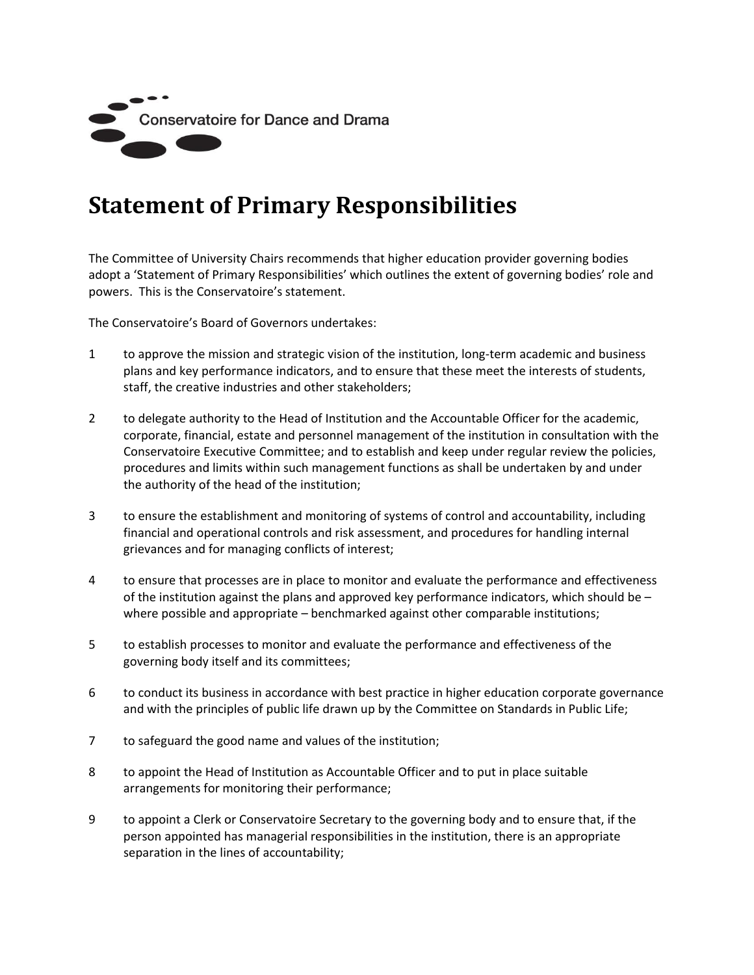

## **Statement of Primary Responsibilities**

The Committee of University Chairs recommends that higher education provider governing bodies adopt a 'Statement of Primary Responsibilities' which outlines the extent of governing bodies' role and powers. This is the Conservatoire's statement.

The Conservatoire's Board of Governors undertakes:

- 1 to approve the mission and strategic vision of the institution, long-term academic and business plans and key performance indicators, and to ensure that these meet the interests of students, staff, the creative industries and other stakeholders;
- 2 to delegate authority to the Head of Institution and the Accountable Officer for the academic, corporate, financial, estate and personnel management of the institution in consultation with the Conservatoire Executive Committee; and to establish and keep under regular review the policies, procedures and limits within such management functions as shall be undertaken by and under the authority of the head of the institution;
- 3 to ensure the establishment and monitoring of systems of control and accountability, including financial and operational controls and risk assessment, and procedures for handling internal grievances and for managing conflicts of interest;
- 4 to ensure that processes are in place to monitor and evaluate the performance and effectiveness of the institution against the plans and approved key performance indicators, which should be  $$ where possible and appropriate – benchmarked against other comparable institutions;
- 5 to establish processes to monitor and evaluate the performance and effectiveness of the governing body itself and its committees;
- 6 to conduct its business in accordance with best practice in higher education corporate governance and with the principles of public life drawn up by the Committee on Standards in Public Life;
- 7 to safeguard the good name and values of the institution;
- 8 to appoint the Head of Institution as Accountable Officer and to put in place suitable arrangements for monitoring their performance;
- 9 to appoint a Clerk or Conservatoire Secretary to the governing body and to ensure that, if the person appointed has managerial responsibilities in the institution, there is an appropriate separation in the lines of accountability;